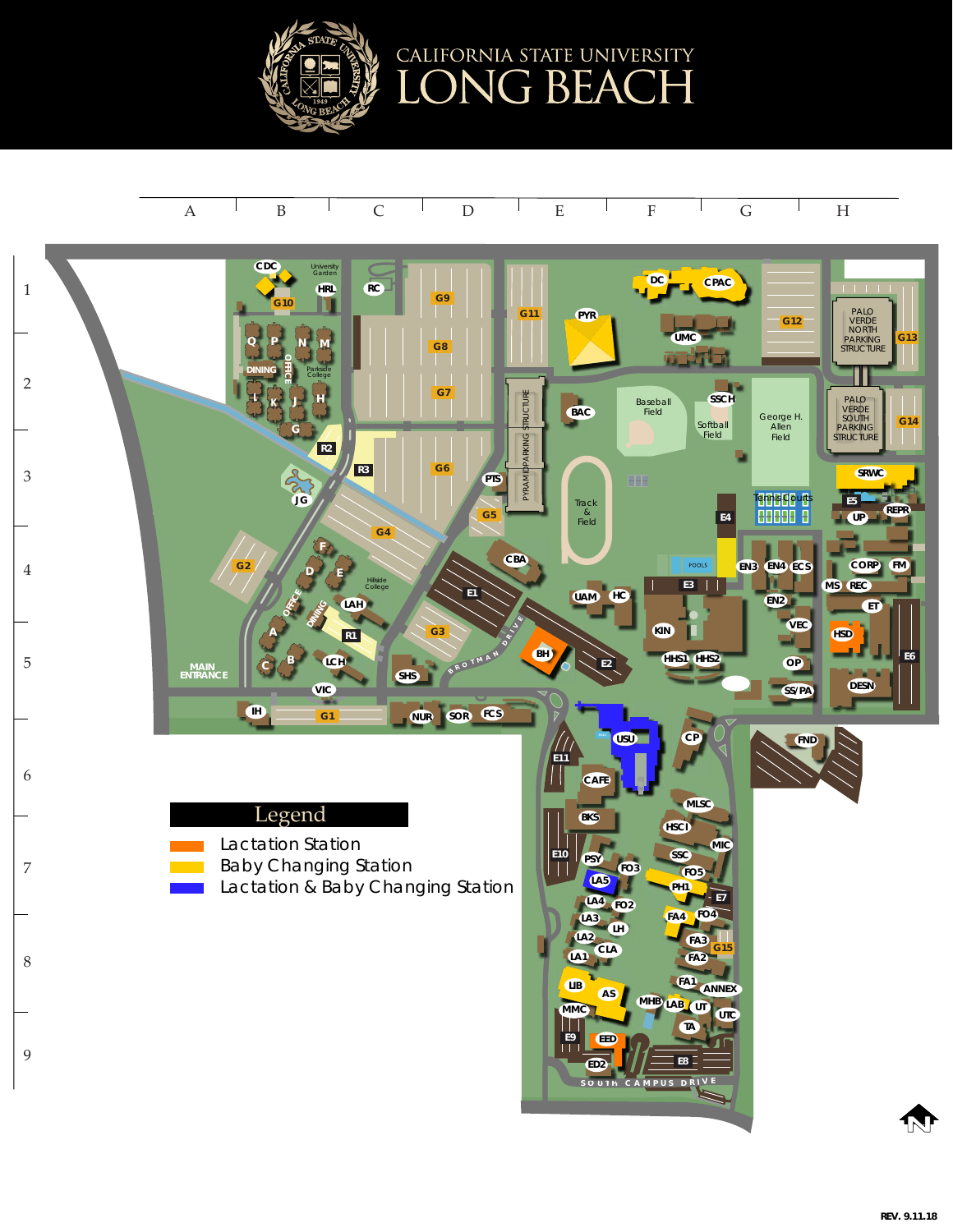

## A ' B ' C ' D ' E ' F ' G ' H